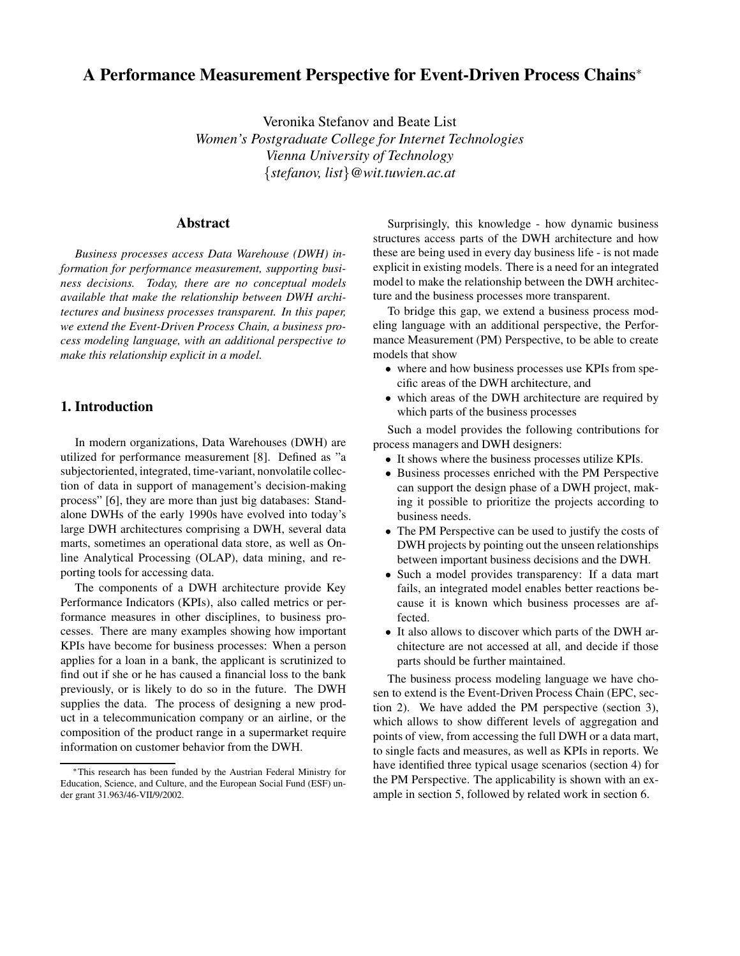# **A Performance Measurement Perspective for Event-Driven Process Chains**<sup>∗</sup>

Veronika Stefanov and Beate List *Women's Postgraduate College for Internet Technologies Vienna University of Technology* {*stefanov, list*}*@wit.tuwien.ac.at*

## **Abstract**

*Business processes access Data Warehouse (DWH) information for performance measurement, supporting business decisions. Today, there are no conceptual models available that make the relationship between DWH architectures and business processes transparent. In this paper, we extend the Event-Driven Process Chain, a business process modeling language, with an additional perspective to make this relationship explicit in a model.*

## **1. Introduction**

In modern organizations, Data Warehouses (DWH) are utilized for performance measurement [8]. Defined as "a subjectoriented, integrated, time-variant, nonvolatile collection of data in support of management's decision-making process" [6], they are more than just big databases: Standalone DWHs of the early 1990s have evolved into today's large DWH architectures comprising a DWH, several data marts, sometimes an operational data store, as well as Online Analytical Processing (OLAP), data mining, and reporting tools for accessing data.

The components of a DWH architecture provide Key Performance Indicators (KPIs), also called metrics or performance measures in other disciplines, to business processes. There are many examples showing how important KPIs have become for business processes: When a person applies for a loan in a bank, the applicant is scrutinized to find out if she or he has caused a financial loss to the bank previously, or is likely to do so in the future. The DWH supplies the data. The process of designing a new product in a telecommunication company or an airline, or the composition of the product range in a supermarket require information on customer behavior from the DWH.

Surprisingly, this knowledge - how dynamic business structures access parts of the DWH architecture and how these are being used in every day business life - is not made explicit in existing models. There is a need for an integrated model to make the relationship between the DWH architecture and the business processes more transparent.

To bridge this gap, we extend a business process modeling language with an additional perspective, the Performance Measurement (PM) Perspective, to be able to create models that show

- where and how business processes use KPIs from specific areas of the DWH architecture, and
- which areas of the DWH architecture are required by which parts of the business processes

Such a model provides the following contributions for process managers and DWH designers:

- It shows where the business processes utilize KPIs.
- Business processes enriched with the PM Perspective can support the design phase of a DWH project, making it possible to prioritize the projects according to business needs.
- The PM Perspective can be used to justify the costs of DWH projects by pointing out the unseen relationships between important business decisions and the DWH.
- Such a model provides transparency: If a data mart fails, an integrated model enables better reactions because it is known which business processes are affected.
- It also allows to discover which parts of the DWH architecture are not accessed at all, and decide if those parts should be further maintained.

The business process modeling language we have chosen to extend is the Event-Driven Process Chain (EPC, section 2). We have added the PM perspective (section 3), which allows to show different levels of aggregation and points of view, from accessing the full DWH or a data mart, to single facts and measures, as well as KPIs in reports. We have identified three typical usage scenarios (section 4) for the PM Perspective. The applicability is shown with an example in section 5, followed by related work in section 6.

<sup>∗</sup>This research has been funded by the Austrian Federal Ministry for Education, Science, and Culture, and the European Social Fund (ESF) under grant 31.963/46-VII/9/2002.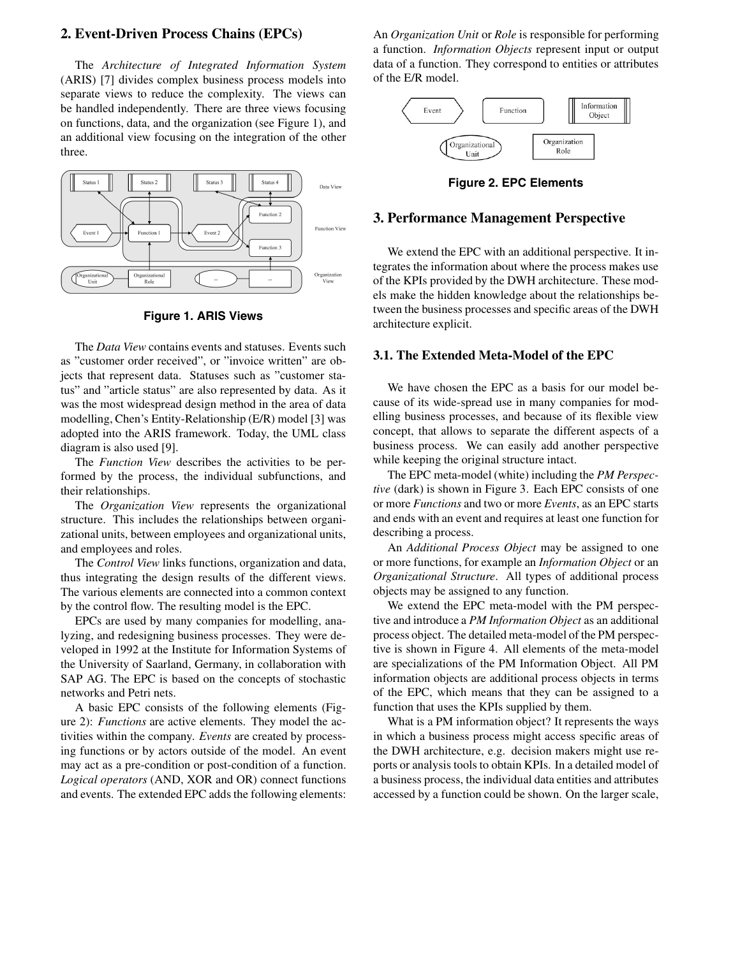## **2. Event-Driven Process Chains (EPCs)**

The *Architecture of Integrated Information System* (ARIS) [7] divides complex business process models into separate views to reduce the complexity. The views can be handled independently. There are three views focusing on functions, data, and the organization (see Figure 1), and an additional view focusing on the integration of the other three.



#### **Figure 1. ARIS Views**

The *Data View* contains events and statuses. Events such as "customer order received", or "invoice written" are objects that represent data. Statuses such as "customer status" and "article status" are also represented by data. As it was the most widespread design method in the area of data modelling, Chen's Entity-Relationship (E/R) model [3] was adopted into the ARIS framework. Today, the UML class diagram is also used [9].

The *Function View* describes the activities to be performed by the process, the individual subfunctions, and their relationships.

The *Organization View* represents the organizational structure. This includes the relationships between organizational units, between employees and organizational units, and employees and roles.

The *Control View* links functions, organization and data, thus integrating the design results of the different views. The various elements are connected into a common context by the control flow. The resulting model is the EPC.

EPCs are used by many companies for modelling, analyzing, and redesigning business processes. They were developed in 1992 at the Institute for Information Systems of the University of Saarland, Germany, in collaboration with SAP AG. The EPC is based on the concepts of stochastic networks and Petri nets.

A basic EPC consists of the following elements (Figure 2): *Functions* are active elements. They model the activities within the company. *Events* are created by processing functions or by actors outside of the model. An event may act as a pre-condition or post-condition of a function. *Logical operators* (AND, XOR and OR) connect functions and events. The extended EPC adds the following elements: An *Organization Unit* or *Role* is responsible for performing a function. *Information Objects* represent input or output data of a function. They correspond to entities or attributes of the E/R model.



**Figure 2. EPC Elements**

#### **3. Performance Management Perspective**

We extend the EPC with an additional perspective. It integrates the information about where the process makes use of the KPIs provided by the DWH architecture. These models make the hidden knowledge about the relationships between the business processes and specific areas of the DWH architecture explicit.

#### **3.1. The Extended Meta-Model of the EPC**

We have chosen the EPC as a basis for our model because of its wide-spread use in many companies for modelling business processes, and because of its flexible view concept, that allows to separate the different aspects of a business process. We can easily add another perspective while keeping the original structure intact.

The EPC meta-model (white) including the *PM Perspective* (dark) is shown in Figure 3. Each EPC consists of one or more *Functions* and two or more *Events*, as an EPC starts and ends with an event and requires at least one function for describing a process.

An *Additional Process Object* may be assigned to one or more functions, for example an *Information Object* or an *Organizational Structure*. All types of additional process objects may be assigned to any function.

We extend the EPC meta-model with the PM perspective and introduce a *PM Information Object* as an additional process object. The detailed meta-model of the PM perspective is shown in Figure 4. All elements of the meta-model are specializations of the PM Information Object. All PM information objects are additional process objects in terms of the EPC, which means that they can be assigned to a function that uses the KPIs supplied by them.

What is a PM information object? It represents the ways in which a business process might access specific areas of the DWH architecture, e.g. decision makers might use reports or analysis tools to obtain KPIs. In a detailed model of a business process, the individual data entities and attributes accessed by a function could be shown. On the larger scale,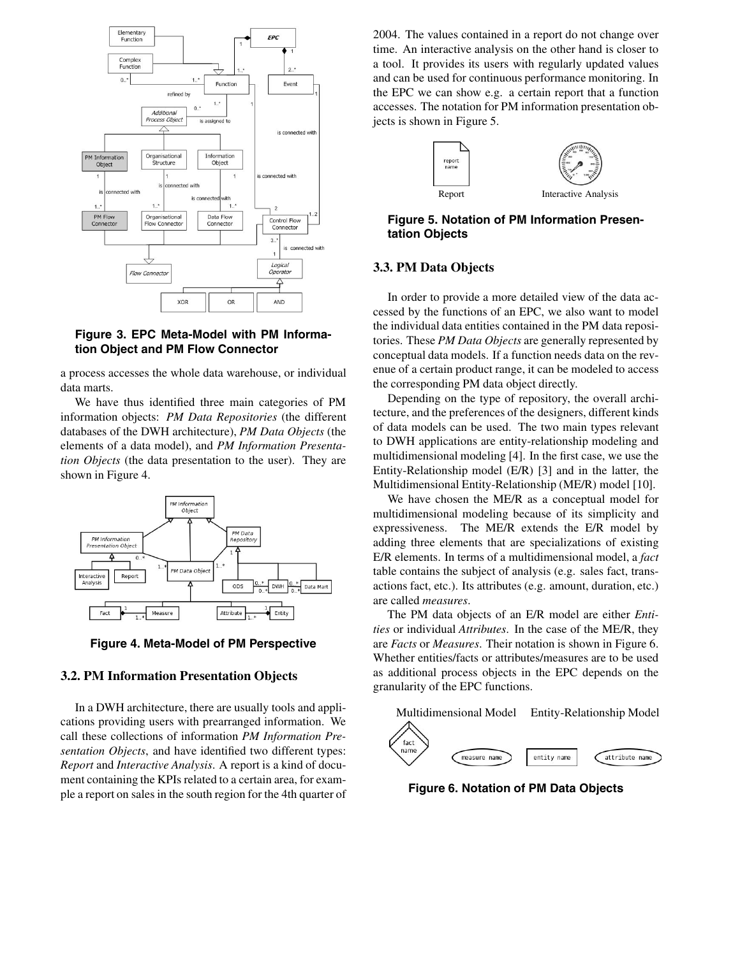

#### **Figure 3. EPC Meta-Model with PM Information Object and PM Flow Connector**

a process accesses the whole data warehouse, or individual data marts.

We have thus identified three main categories of PM information objects: *PM Data Repositories* (the different databases of the DWH architecture), *PM Data Objects* (the elements of a data model), and *PM Information Presentation Objects* (the data presentation to the user). They are shown in Figure 4.



**Figure 4. Meta-Model of PM Perspective**

## **3.2. PM Information Presentation Objects**

In a DWH architecture, there are usually tools and applications providing users with prearranged information. We call these collections of information *PM Information Presentation Objects*, and have identified two different types: *Report* and *Interactive Analysis*. A report is a kind of document containing the KPIs related to a certain area, for example a report on sales in the south region for the 4th quarter of 2004. The values contained in a report do not change over time. An interactive analysis on the other hand is closer to a tool. It provides its users with regularly updated values and can be used for continuous performance monitoring. In the EPC we can show e.g. a certain report that a function accesses. The notation for PM information presentation objects is shown in Figure 5.



**Figure 5. Notation of PM Information Presentation Objects**

#### **3.3. PM Data Objects**

In order to provide a more detailed view of the data accessed by the functions of an EPC, we also want to model the individual data entities contained in the PM data repositories. These *PM Data Objects* are generally represented by conceptual data models. If a function needs data on the revenue of a certain product range, it can be modeled to access the corresponding PM data object directly.

Depending on the type of repository, the overall architecture, and the preferences of the designers, different kinds of data models can be used. The two main types relevant to DWH applications are entity-relationship modeling and multidimensional modeling [4]. In the first case, we use the Entity-Relationship model (E/R) [3] and in the latter, the Multidimensional Entity-Relationship (ME/R) model [10].

We have chosen the ME/R as a conceptual model for multidimensional modeling because of its simplicity and expressiveness. The ME/R extends the E/R model by adding three elements that are specializations of existing E/R elements. In terms of a multidimensional model, a *fact* table contains the subject of analysis (e.g. sales fact, transactions fact, etc.). Its attributes (e.g. amount, duration, etc.) are called *measures*.

The PM data objects of an E/R model are either *Entities* or individual *Attributes*. In the case of the ME/R, they are *Facts* or *Measures*. Their notation is shown in Figure 6. Whether entities/facts or attributes/measures are to be used as additional process objects in the EPC depends on the granularity of the EPC functions.



**Figure 6. Notation of PM Data Objects**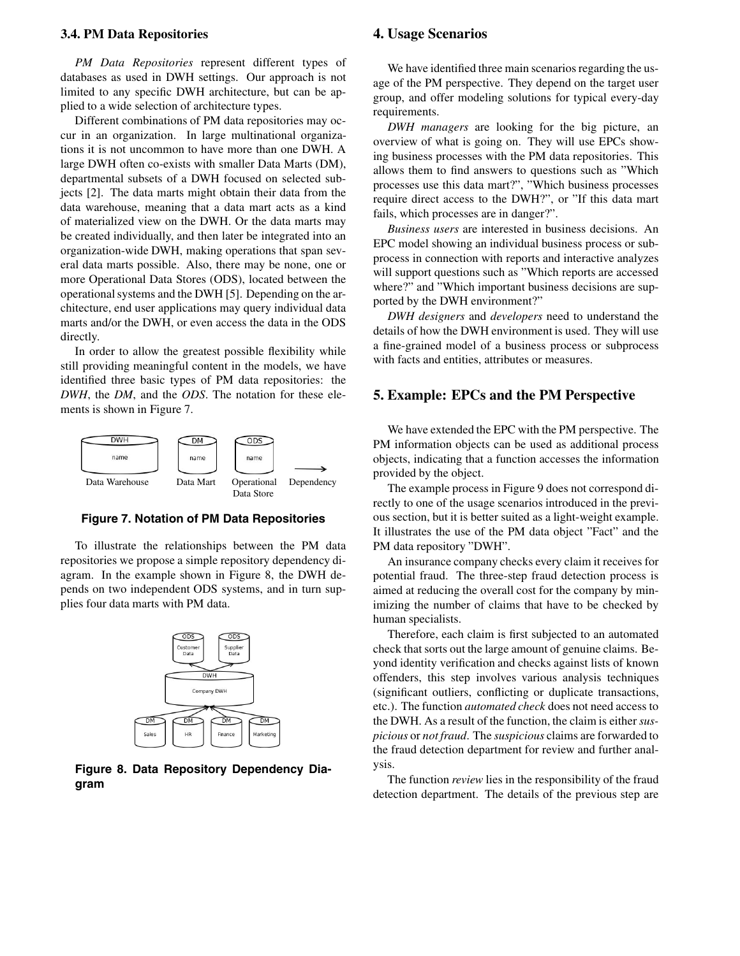#### **3.4. PM Data Repositories**

*PM Data Repositories* represent different types of databases as used in DWH settings. Our approach is not limited to any specific DWH architecture, but can be applied to a wide selection of architecture types.

Different combinations of PM data repositories may occur in an organization. In large multinational organizations it is not uncommon to have more than one DWH. A large DWH often co-exists with smaller Data Marts (DM), departmental subsets of a DWH focused on selected subjects [2]. The data marts might obtain their data from the data warehouse, meaning that a data mart acts as a kind of materialized view on the DWH. Or the data marts may be created individually, and then later be integrated into an organization-wide DWH, making operations that span several data marts possible. Also, there may be none, one or more Operational Data Stores (ODS), located between the operational systems and the DWH [5]. Depending on the architecture, end user applications may query individual data marts and/or the DWH, or even access the data in the ODS directly.

In order to allow the greatest possible flexibility while still providing meaningful content in the models, we have identified three basic types of PM data repositories: the *DWH*, the *DM*, and the *ODS*. The notation for these elements is shown in Figure 7.



**Figure 7. Notation of PM Data Repositories**

To illustrate the relationships between the PM data repositories we propose a simple repository dependency diagram. In the example shown in Figure 8, the DWH depends on two independent ODS systems, and in turn supplies four data marts with PM data.



**Figure 8. Data Repository Dependency Diagram**

#### **4. Usage Scenarios**

We have identified three main scenarios regarding the usage of the PM perspective. They depend on the target user group, and offer modeling solutions for typical every-day requirements.

*DWH managers* are looking for the big picture, an overview of what is going on. They will use EPCs showing business processes with the PM data repositories. This allows them to find answers to questions such as "Which processes use this data mart?", "Which business processes require direct access to the DWH?", or "If this data mart fails, which processes are in danger?".

*Business users* are interested in business decisions. An EPC model showing an individual business process or subprocess in connection with reports and interactive analyzes will support questions such as "Which reports are accessed where?" and "Which important business decisions are supported by the DWH environment?"

*DWH designers* and *developers* need to understand the details of how the DWH environment is used. They will use a fine-grained model of a business process or subprocess with facts and entities, attributes or measures.

## **5. Example: EPCs and the PM Perspective**

We have extended the EPC with the PM perspective. The PM information objects can be used as additional process objects, indicating that a function accesses the information provided by the object.

The example process in Figure 9 does not correspond directly to one of the usage scenarios introduced in the previous section, but it is better suited as a light-weight example. It illustrates the use of the PM data object "Fact" and the PM data repository "DWH".

An insurance company checks every claim it receives for potential fraud. The three-step fraud detection process is aimed at reducing the overall cost for the company by minimizing the number of claims that have to be checked by human specialists.

Therefore, each claim is first subjected to an automated check that sorts out the large amount of genuine claims. Beyond identity verification and checks against lists of known offenders, this step involves various analysis techniques (significant outliers, conflicting or duplicate transactions, etc.). The function *automated check* does not need access to the DWH. As a result of the function, the claim is either *suspicious* or *not fraud*. The *suspicious* claims are forwarded to the fraud detection department for review and further analysis.

The function *review* lies in the responsibility of the fraud detection department. The details of the previous step are